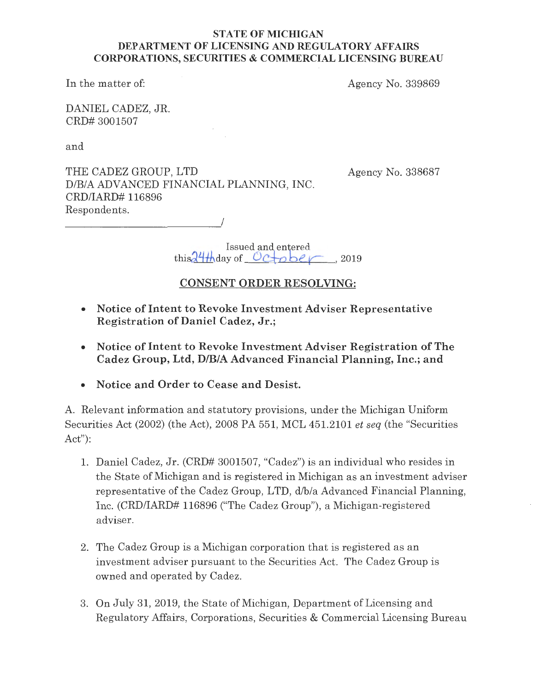## **STATE OF MICHIGAN DEPARTMENT OF LICENSING AND REGULATORY AFFAIRS CORPORATIONS, SECURITIES** & **COMMERCIAL LICENSING BUREAU**

In the matter of:

Agency No. 339869

DANIEL CADEZ, JR. CRD# 3001507

and

THE CADEZ GROUP, LTD D/B/A ADVANCED FINANCIAL PLANNING, INC. CRD/IARD# 116896 Respondents.

----------------'/

Agency No. 338687

Issued and entered this  $\frac{24}{4}$  day of  $Octo$  ber  $\sim$  2019

# **CONSENT ORDER RESOLVING:**

- **Notice of Intent to Revoke Investment Adviser Representative Registration of Daniel Cadez, Jr.;**
- **Notice of Intent to Revoke Investment Adviser Registration of The Cadez Group, Ltd, D/B/A Advanced Financial Planning, Inc.; and**
- **Notice and Order to Cease and Desist.**

A. Relevant information and statutory provisions, under the Michigan Uniform Securities Act (2002) (the Act), 2008 PA 551, MCL 451.2101 *et seq* (the "Securities Act"):

- 1. Daniel Cadez, Jr. (CRD# 3001507, "Cadez") is an individual who resides in the State of Michigan and is registered in Michigan as an investment adviser representative of the Cadez Group, LTD, d/b/a Advanced Financial Planning, Inc. (CRD/IARD# 116896 ("The Cadez Group"), a Michigan-registered adviser.
- 2. The Cadez Group is a Michigan corporation that is registered as an investment adviser pursuant to the Securities Act. The Cadez Group is owned and operated by Cadez.
- 3. On July 31, 2019, the State of Michigan, Department of Licensing and Regulatory Affairs, Corporations, Securities & Commercial Licensing Bureau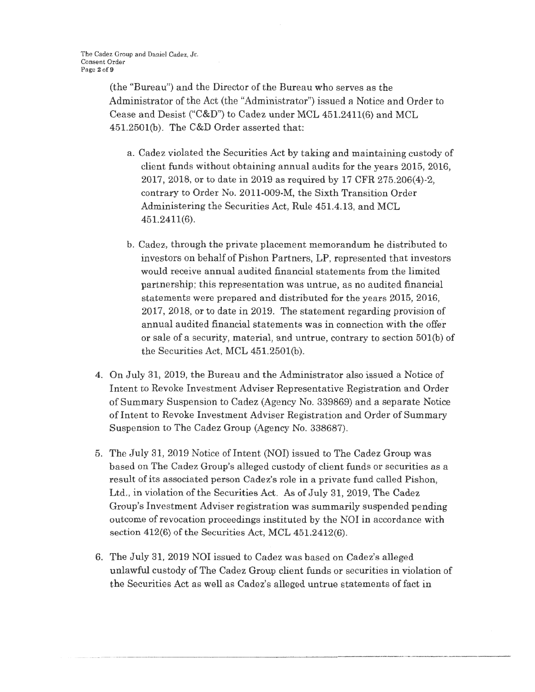(the "Bureau") and the Director of the Bureau who serves as the Administrator of the Act (the "Administrator") issued a Notice and Order to Cease and Desist ("C&D") to Cadez under MCL 451.2411(6) and MCL 451.250l(b). The C&D Order asserted that:

- a. Cadez violated the Securities Act by taking and maintaining custody of client funds without obtaining annual audits for the years 2015, 2016, 2017, 2018, or to date in 2019 as required by 17 CFR 275.206(4)-2, contrary to Order No. 2011-009-M, the Sixth Transition Order Administering the Securities Act, Rule 451.4.13, and MCL 451.2411(6).
- b. Cadez, through the private placement memorandum he distributed to investors on behalf of Pishon Partners, LP, represented that investors would receive annual audited financial statements from the limited partnership; this representation was untrue, as no audited financial statements were prepared and distributed for the years 2015, 2016, 2017, 2018, or to date in 2019. The statement regarding provision of annual audited financial statements was in connection with the offer or sale of a security, material, and untrue, contrary to section 501(b) of the Securities Act, MCL 451.2501(b).
- 4. On July 31, 2019, the Bureau and the Administrator also issued a Notice of Intent to Revoke Investment Adviser Representative Registration and Order of Summary Suspension to Cadez (Agency No. 339869) and a separate Notice of Intent to Revoke Investment Adviser Registration and Order of Summary Suspension to The Cadez Group (Agency No. 338687).
- 5. The July 31, 2019 Notice of Intent (NOI) issued to The Cadez Group was based on The Cadez Group's alleged custody of client funds or securities as a result of its associated person Cadez's role in a private fund called Pishon, Ltd., in violation of the Securities Act. As of July 31, 2019, The Cadez Group's Investment Adviser registration was summarily suspended pending outcome of revocation proceedings instituted by the NOI **in** accordance with section 412(6) of the Securities Act, **MCL** 451.2412(6).
- 6. The July 31, 2019 NOI issued to Cadez was based on Cadez's alleged unlawful custody of The Cadez Group client funds or securities in violation of the Securities Act as well as Cadez's alleged untrue statements of fact in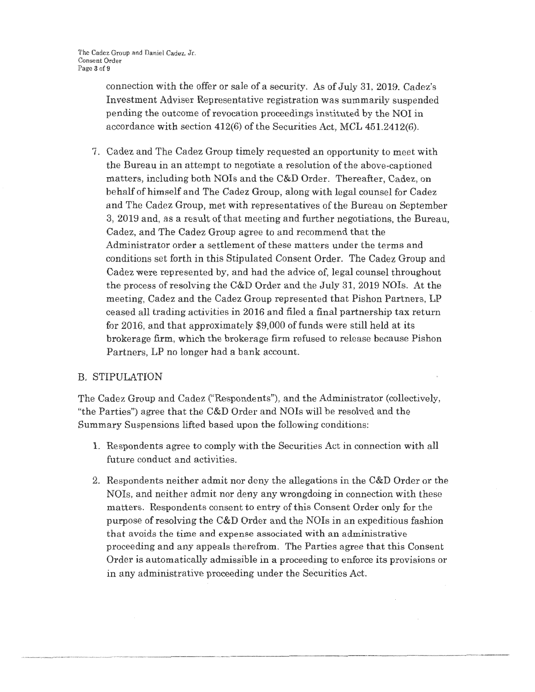connection with the offer or sale of a security. As of July 31, 2019. Cadez's Investment Adviser Representative registration was summarily suspended pending the outcome of revocation proceedings instituted by the NOI in accordance with section 412(6) of the Securities Act, MCL 45L2412(6).

7. Cadez and The Cadez Group timely requested an opportunity to meet with the Bureau in an attempt to negotiate a resolution of the above-captioned matters, including both NOIs and the C&D Order. Thereafter, Cadez, on behalf of himself and The Cadez Group, along with legal counsel for Cadez and The Cadez Group, met with representatives of the Bureau on September 3, 2019 and, as a result of that meeting and further negotiations, the Bureau, Cadez, and The Cadez Group agree to and recommend that the Administrator order a settlement of these matters under the terms and conditions set forth in this Stipulated Consent Order. The Cadez Group and Cadez were represented by, and had the advice of, legal counsel throughout the process of resolving the  $C&D$  Order and the July 31, 2019 NOIs. At the meeting, Cadez and the Cadez Group represented that Pishon Partners, LP ceased all trading activities in 2016 and filed a final partnership tax return for 2016, and that approximately \$9,000 of funds were still held at its brokerage firm, which the brokerage firm refused to release because Pishon Partners, LP no longer had a bank account.

## B. STIPULATION

The Cadez Group and Cadez ("Respondents"), and the Administrator (collectively, "the Parties") agree that the  $C&D$  Order and NOIs will be resolved and the Summary Suspensions lifted based upon the following conditions:

- 1. Respondents agree to comply with the Securities Act in connection with all future conduct and activities.
- 2. Respondents neither admit nor deny the allegations in the C&D Order or the NOis, and neither admit nor deny any wrongdoing in connection with these matters. Respondents consent to entry of this Consent Order only for the purpose of resolving the C&D Order and the NOIs in an expeditious fashion that avoids the time and expense associated with an administrative proceeding and any appeals therefrom. The Parties agree that this Consent Order is automatically admissible in a proceeding to enforce its provisions or in any administrative proceeding under the Securities Act.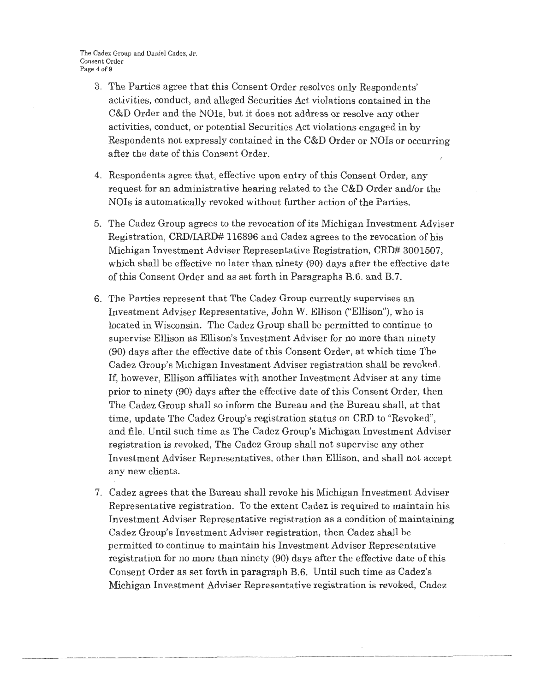The Cadez Group and Daniel Cadez, Jr. Consent Order Page 4 of 9

- 3. The Parties agree that this Consent Order resolves only Respondents' activities, conduct, and alleged Securities Act violations contained in the C&D Order and the NOIs, but it does not address or resolve any other activities, conduct, or potential Securities Act violations engaged in by Respondents not expressly contained in the  $C&D$  Order or NOIs or occurring after the date of this Consent Order. *I*
- 4. Respondents agree that, effective upon entry of this Consent Order, any request for an administrative hearing related to the C&D Order and/or the NOIs is automatically revoked without further action of the Parties.
- 5. The Cadez Group agrees to the revocation of its Michigan Investment Adviser Registration, CRD/IARD# 116896 and Cadez agrees to the revocation of his Michigan Investment Adviser Representative Registration, CRD# 3001507, which shall be effective no later than ninety (90) days after the effective date of this Consent Order and as set forth in Paragraphs B.6. and B.7.
- 6. The Parties represent that The Cadez Group currently supervises an Investment Adviser Representative, John W. Ellison ("Ellison"), who is located in Wisconsin. The Cadez Group shall be permitted to continue to supervise Ellison as Ellison's Investment Adviser for no more than ninety (90) days after the effective date of this Consent Order, at which time The Cadez Group's Michigan Investment Adviser registration shall be revoked. If, however, Ellison affiliates with another Investment Adviser at any time prior to ninety (90) days after the effective date of this Consent Order, then The Cadez Group shall so inform the Bureau and the Bureau shall, at that time, update The Cadez Group's registration status on CRD to "Revoked", and file. Until such time as The Cadez Group's Michigan Investment Adviser registration is revoked, The Cadez Group shall not supervise any other Investment Adviser Representatives, other than Ellison, and shall not accept any new clients.
- 7. Cadez agrees that the Bureau shall revoke his Michigan Investment Adviser Representative registration. To the extent Cadez is required to maintain his Investment Adviser Representative registration as a condition of maintaining Cadez Group's Investment Adviser registration, then Cadez shall be permitted to continue to maintain his Investment Adviser Representative registration for no more than ninety (90) days after the effective date of this Consent Order as set forth in paragraph B.6. Until such time as Cadez's Michigan Investment Adviser Representative registration is revoked, Cadez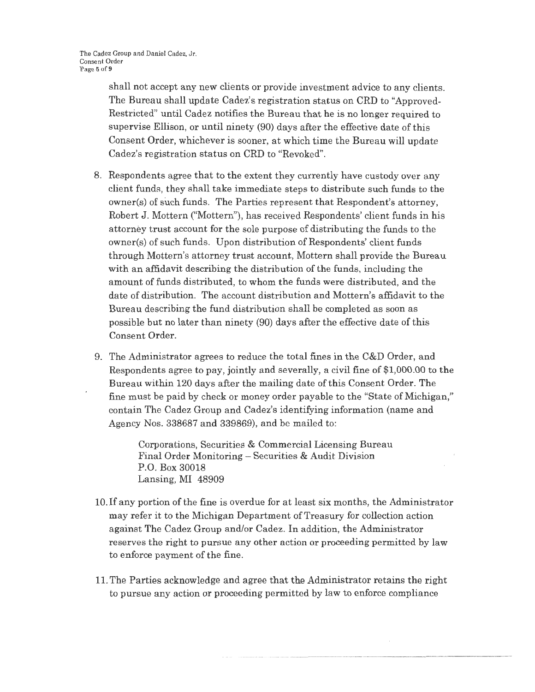shall not accept any new clients or provide investment advice to any clients. The Bureau shall update Cadez's registration status on CRD to "Approved-Restricted" until Cadez notifies the Bureau that he is no longer required to supervise Ellison, or until ninety (90) days after the effective date of this Consent Order, whichever is sooner, at which time the Bureau will update Cadez's registration status on CRD to "Revoked".

- 8. Respondents agree that to the extent they currently have custody over any client funds, they shall take immediate steps to distribute such funds to the owner(s) of such funds. The Parties represent that Respondent's attorney, Robert J. Mottern ("Mottern"), has received Respondents' client funds in his attorney trust account for the sole purpose of distributing the funds to the owner(s) of such funds. Upon distribution of Respondents' client funds through Mottern's attorney trust account, Mottern shall provide the Bureau with an affidavit describing the distribution of the funds, including the amount of funds distributed, to whom the funds were distributed, and the date of distribution. The account distribution and Mottern's affidavit to the Bureau describing the fund distribution shall be completed as soon as possible but no later than ninety (90) days after the effective date of this Consent Order.
- 9. The Administrator agrees to reduce the total fines in the C&D Order, and Respondents agree to pay, jointly and severally, a civil fine of \$1,000.00 to the Bureau within 120 days after the mailing date of this Consent Order. The fine must be paid by check or money order payable to the "State of Michigan," contain The Cadez Group and Cadez's identifying information (name and Agency Nos. 338687 and 339869), and be mailed to:

Corporations, Securities & Commercial Licensing Bureau Final Order Monitoring - Securities & Audit Division P.O. Box 30018 Lansing, MI 48909

- 10. If any portion of the fine is overdue for at least six months, the Administrator may refer it to the Michigan Department of Treasury for collection action against The Cadez Group and/or Cadez. In addition, the Administrator reserves the right to pursue any other action or proceeding permitted by law to enforce payment of the fine.
- 11. The Parties acknowledge and agree that the Administrator retains the right to pursue any action or proceeding permitted by law to enforce compliance

·· ···-------- --------- -----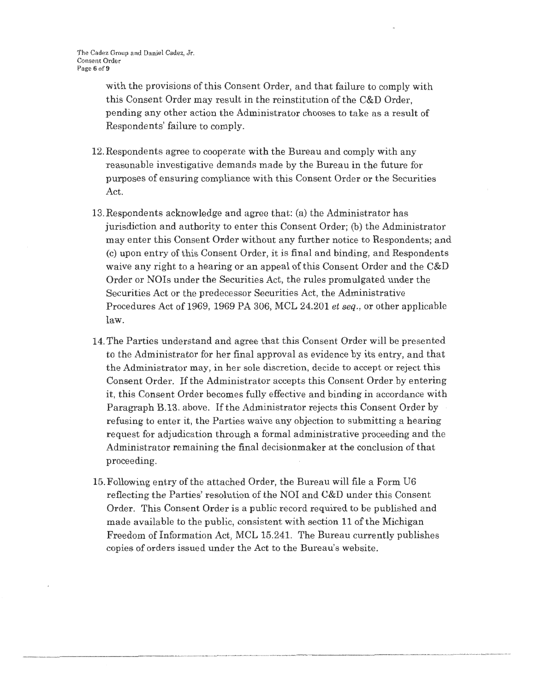with the provisions of this Consent Order, and that failure to comply with this Consent Order may result in the reinstitution of the C&D Order, pending any other action the Administrator chooses to take as a result of Respondents' failure to comply.

- 12. Respondents agree to cooperate with the Bureau and comply with any reasonable investigative demands made by the Bureau in the future for purposes of ensuring compliance with this Consent Order or the Securities Act.
- 13.Respondents acknowledge and agree that: (a) the Administrator has jurisdiction and authority to enter this Consent Order; (b) the Administrator may enter this Consent Order without any further notice to Respondents; and (c) upon entry of this Consent Order, it is final and binding, and Respondents waive any right to a hearing or an appeal of this Consent Order and the C&D Order or NOis under the Secmities Act, the rules promulgated under the Securities Act or the predecessor Securities Act, the Administrative Procedures Act of 1969, 1969 PA 306, MCL 24.201 *et seq.,* or other applicable law.
- 14. The Parties understand and agree that this Consent Order will be presented to the Administrator for her final approval as evidence by its entry, and that the Administrator may, in her sole discretion, decide to accept or reject this Consent Order. If the Administrator accepts this Consent Order.by entering it, this Consent Order becomes fully effective and binding in accordance with Paragraph B.13. above. If the Administrator rejects this Consent Order by refusing to enter it, the Parties waive any objection to submitting a hearing request for adjudication through a formal administrative proceeding and the Administrator remaining the final decisionmaker at the conclusion of that proceeding.
- 15. Following entry of the attached Order, the Bureau will file a Form U6 reflecting the Parties' resolution of the NOI and C&D under this Consent Order. This Consent Order is a public record required to be published and made available *to* the public, consistent with section 11 of the Michigan Freedom of Information Act, MCL 15.241. The Bureau currently publishes copies of orders issued under the Act to the Bureau's website.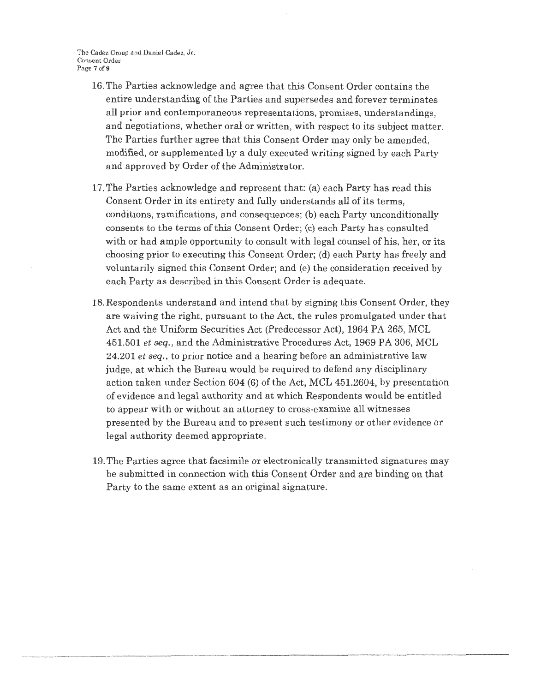The Cadez Croup and Daniel Cadez, Jr. Consent Order Page 7 of 9

- 16. The Parties acknowledge and agree that this Consent Order contains the entire understanding of the Parties and supersedes and forever terminates all prior and contemporaneous representations, promises, understandings, and negotiations, whether oral or written, with respect to its subject matter. The Parties further agree that this Consent Order may only be amended, modified, or supplemented by a duly executed writing signed by each Party and approved by Order of the Administrator.
- 17. The Parties acknowledge and represent that: (a) each Party has read this Consent Order in its entirety and fully understands all of its terms, conditions, ramifications, and consequences; (b) each Party unconditionally consents to the terms of this Consent Order; (c) each Party has consulted with or had ample opportunity to consult with legal counsel of his, her, or its choosing prior to executing this Consent Order; (d) each Party has freely and voluntarily signed this Consent Order; and (c) the consideration received by each Party as described in this Consent Order is adequate.
- 18. Respondents understand and intend that by signing this Consent Order, they are waiving the right, pursuant to the Act, the rules promulgated under that Act and the Uniform Securities Act (Predecessor Act), 1964 PA 265, MCL 451.501 *et seq.,* and the Administrative Procedures Act, 1969 PA 306, MCL 24.201 *et seq.,* to prior notice and a hearing before an administrative law judge, at which the Bureau would be required to defend any disciplinary action taken under Section 604 (6) of the Act, MCL 451.2604, by presentation of evidence and legal authority and at which Respondents would be entitled to appear with or without an attorney to cross-examine all witnesses presented by the Bureau and to present such testimony or other evidence or legal authority deemed appropriate.
- 19. The Parties agree that facsimile or electronically transmitted signatures may be submitted in connection with this Consent Order and are binding on that Party to the same extent as an original signature.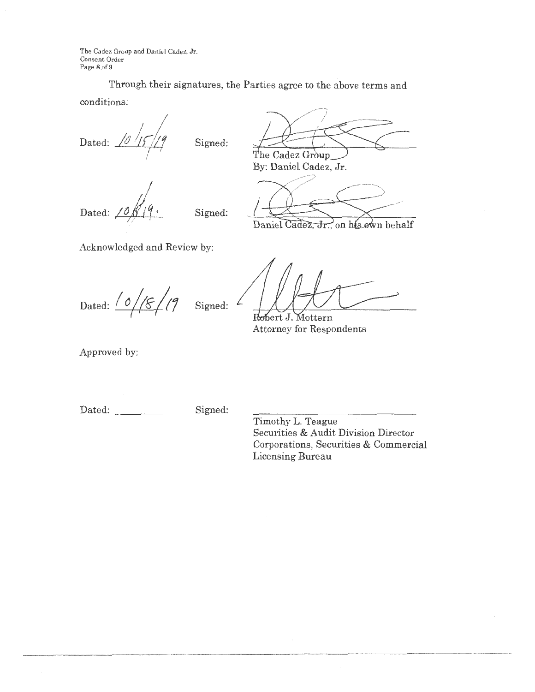The Cadez Group and Daniel Cadez, Jr. Consent Order Page 8 of 9

Through their signatures, the Parties agree to the above terms and conditions;

Dated: *10* 15 /19 *I* 

Signed:

Dated: *I* 

Signed:

By: Daniel Cadez, Jr.

The Cadez Group

Daniel Cadez, Jr., on his own behalf

Acknowledged and Review by:

Dated:  $\frac{10}{8}$  |  $\frac{9}{8}$  |  $\frac{9}{8}$  | Signed:  $\frac{2}{8}$ 

Robert J.  $\operatorname{Mottern}$ Attorney for Respondents

Approved by:

Dated: Signed:

Timothy L. Teague Securities & Audit Division Director Corporations, Securities & Commercial Licensing Bureau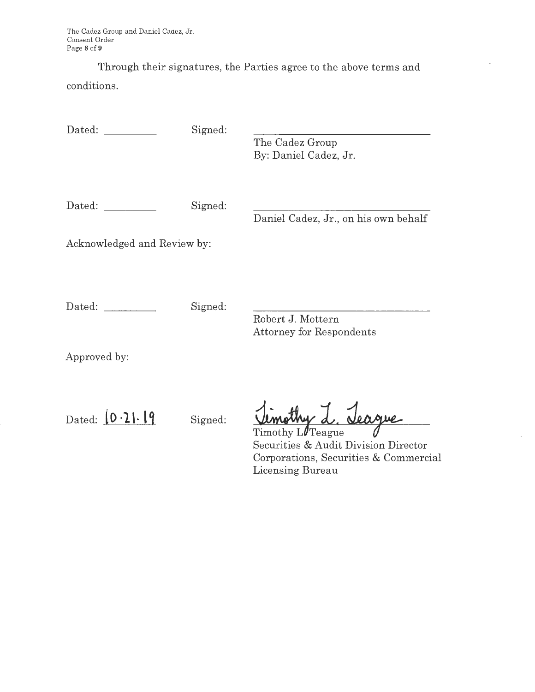The Cadez Group and Daniel Cadez, Jr. Consent Order Page **8** of **9** 

Through their signatures, the Parties agree to the above terms and conditions.

Dated: Signed:

The Cadez Group By: Daniel Cadez, Jr.

Dated: Signed:

Daniel Cadez, Jr., on his own behalf

Acknowledged and Review by:

Dated: Signed:

Robert J. Mottern Attorney for Respondents

Approved by:

Dated:  $\begin{bmatrix} 0 & \cdot \end{bmatrix} \cdot \begin{bmatrix} 9 \\ 2 \end{bmatrix}$  Signed:

L. Jeague

Timothy L*T*eague Securities & Audit Division Director Corporations, Securities & Commercial Licensing Bureau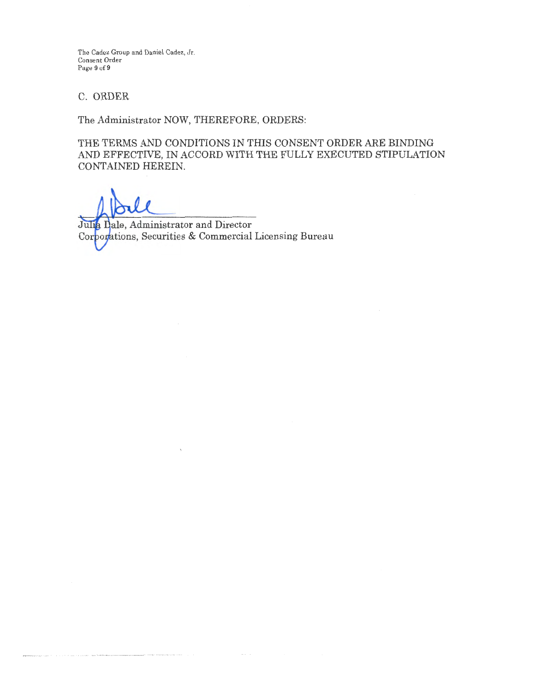The Cadez Group and Daniel Cadez, Jr. Consent Order Page 9 of 9

## C. ORDER

The Administrator NOW, THEREFORE, ORDERS:

THE TERMS AND CONDITIONS IN THIS CONSENT ORDER ARE BINDING AND EFFECTIVE, IN ACCORD WITH THE FULLY EXECUTED STIPULATION CONTAINED HEREIN.

Julia Dale, Administrator and Director Corporations, Securities & Commercial Licensing Bureau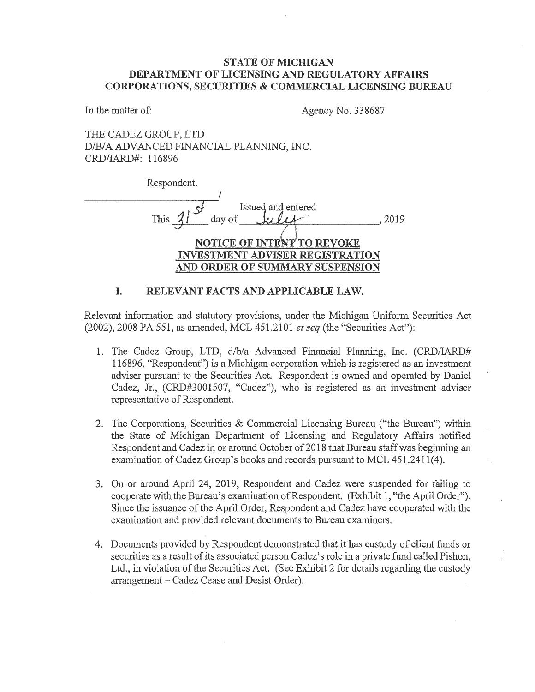## **STATE OF MICHIGAN DEPARTMENT OF LICENSING AND REGULATORY AFFAIRS CORPORATIONS, SECURITIES & COMMERCIAL LICENSING BUREAU**

In the matter of: Agency No. 338687

THE CADEZ GROUP, LTD D/B/A ADVANCED FINANCIAL PLANNING, INC. CRD/IARD#: 116896

| Respondent.                                 |
|---------------------------------------------|
|                                             |
| Issued and entered<br>$\rightarrow$ $S^{f}$ |
| This<br>day of<br>2019                      |
|                                             |
| NOTICE OF INTENT TO REVOKE                  |
| <b>ESTMENT ADVISER REGISTRATION</b>         |
| <b>ORDER OF SUMMARY SUSPENSION</b>          |

#### **I. RELEVANT FACTS AND APPLICABLE LAW.**

Relevant information and statutory provisions, under the Michigan Uniform Securities Act (2002), 2008 PA 551, as amended, MCL 451.2101 *et seq* (the "Securities Act"):

- 1. The Cadez Group, LTD, d/b/a Advanced Financial Planning, Inc. (CRD/IARD# 116896, "Respondent") is a Michigan corporation which is registered as an investment adviser pursuant to the Securities Act. Respondent is owned and operated by Daniel Cadez, Jr., (CRD#3001507, "Cadez"), who is registered as an investment adviser representative of Respondent.
- 2. The Corporations, Securities & Commercial Licensing Bureau ("the Bureau") within the State of Michigan Department of Licensing and Regulatory Affairs notified Respondent and Cadez in or around October of 2018 that Bureau staff was beginning an examination of Cadez Group's books and records pursuant to MCL 451 .2411(4).
- 3. On or around April 24, 2019, Respondent and Cadez were suspended for failing to cooperate with the Bureau's examination of Respondent. (Exhibit 1, "the April Order"). Since the issuance of the April Order, Respondent and Cadez have cooperated with the examination and provided relevant documents to Bureau examiners.
- 4. Documents provided by Respondent demonstrated that it has custody of client funds or securities as a result of its associated person Cadez's role in a private fund called Pishon, Ltd., in violation of the Securities Act. (See Exhibit 2 for details regarding the custody arrangement - Cadez Cease and Desist Order).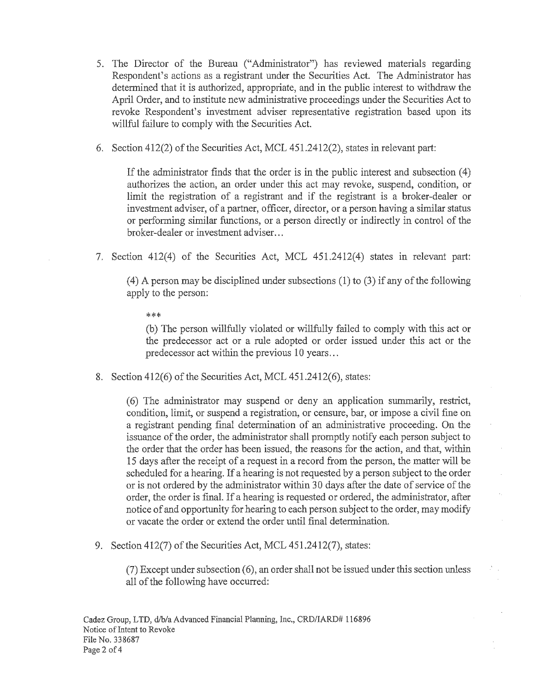- 5. The Director of the Bureau ("Administrator") has reviewed materials regarding Respondent's actions as a registrant under the Securities Act. The Administrator has determined that it is authorized, appropriate, and in the public interest to withdraw the April Order, and to institute new administrative proceedings under the Securities Act to revoke Respondent's investment adviser representative registration based upon its willful failure to comply with the Securities Act.
- 6. Section 412(2) of the Securities Act, MCL 451.2412(2), states in relevant part:

If the administrator finds that the order is in the public interest and subsection ( 4) authorizes the action, an order under this act may revoke, suspend, condition, or limit the registration of a registrant and if the registrant is a broker-dealer or investment adviser, of a partner, officer, director, or a person having a similar status or performing similar functions, or a person directly or indirectly in control of the broker-dealer or investment adviser...

7. Section 412(4) of the Securities Act, MCL 451.2412(4) states in relevant part:

(4) A person may be disciplined under subsections (1) to (3) if any of the following apply to the person:

\*\*\*

(b) The person willfully violated or willfully failed to comply with this act or the predecessor act or a rule adopted or order issued under this act or the predecessor act within the previous 10 years ...

8. Section 412(6) of the Securities Act, MCL 451.2412(6), states:

( 6) The administrator may suspend or deny an application summarily, restrict, condition, limit, or suspend a registration, or censure, bar, or impose a civil fine on a registrant pending final determination of an administrative proceeding. On the issuance of the order, the administrator shall promptly notify each person subject to the order that the order has been issued, the reasons for the action, and that, within 15 days after the receipt of a request in a record from the person, the matter will be scheduled for a hearing. If a hearing is not requested by a person subject to the order or is not ordered by the administrator within 30 days after the date of service of the order, the order is final. If a hearing is requested or ordered, the administrator, after notice of and opportunity for hearing to each person subject to the order, may modify or vacate the order or extend the order until final determination.

9. Section 412(7) of the Securities Act, MCL 451.2412(7), states:

(7) Except under subsection ( 6), an order shall not be issued under this section unless all of the following have occurred: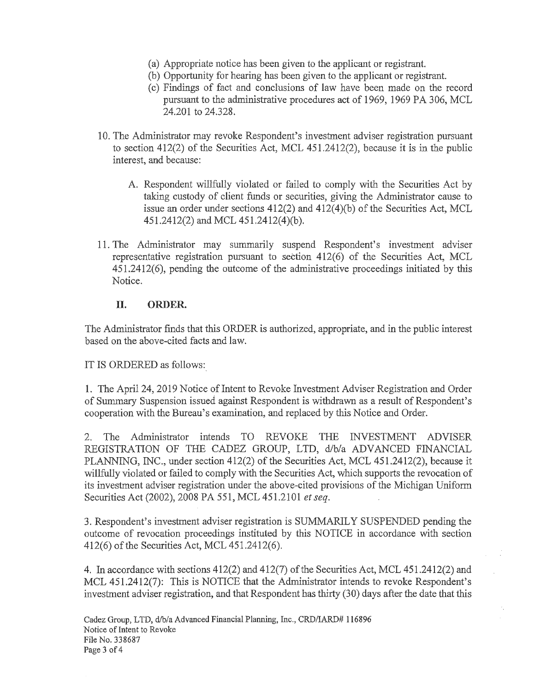- (a) Appropriate notice has been given to the applicant or registrant.
- (b) Opportunity for hearing has been given to the applicant or registrant.
- ( c) Findings of fact and conclusions of law have been made on the record pursuant to the administrative procedures act of 1969, 1969 PA 306, MCL 24.201 to 24.328.
- 10. The Administrator may revoke Respondent's investment adviser registration pursuant to section 412(2) of the Securities Act, MCL 451.2412(2), because it is in the public interest, and because:
	- A. Respondent willfully violated or failed to comply with the Securities Act by taking custody of client funds or securities, giving the Administrator cause to issue an order under sections 412(2) and 412(4)(b) of the Securities Act, MCL 451.2412(2) and MCL 451.2412(4)(b).
- 11. The Administrator may summarily suspend Respondent's investment adviser representative registration pursuant to section 412(6) of the Securities Act, MCL 451.2412(6), pending the outcome of the administrative proceedings initiated by this Notice.

## **II. ORDER.**

The Administrator finds that this ORDER is authorized, appropriate, and in the public interest based on the above-cited facts and law.

IT IS ORDERED as follows:

1. The April 24, 2019 Notice of Intent to Revoke Investment Adviser Registration and Order of Summary Suspension issued against Respondent is withdrawn as a result of Respondent's cooperation with the Bureau's examination, and replaced by this Notice and Order.

2. The Administrator intends TO REVOKE THE INVESTMENT ADVISER REGISTRATION OF THE CADEZ GROUP, LTD, d/b/a ADVANCED FINANCIAL PLANNING, INC., under section 412(2) of the Securities Act, MCL 451.2412(2), because it willfully violated or failed to comply with the Securities Act, which supports the revocation of its investment adviser registration under the above-cited provisions of the Michigan Uniform Securities Act (2002), 2008 PA 551, MCL 451.2101 *et seq.* 

3. Respondent's investment adviser registration is SUMMARILY SUSPENDED pending the outcome of revocation proceedings instituted by this NOTICE in accordance with section 412(6) of the Securities Act, MCL 451.2412(6).

4. In accordance with sections 412(2) and 412(7) of the Securities Act, MCL 451.2412(2) and MCL 451.2412(7): This is NOTICE that the Administrator intends to revoke Respondent's investment adviser registration, and that Respondent has thirty (30) days after the date that this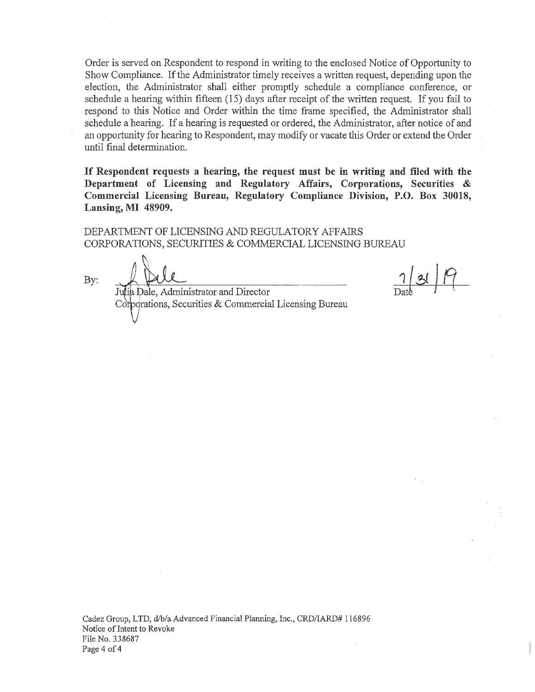Order is served on Respondent to respond in writing to the enclosed Notice of Opportunity to Show Compliance. If the Administrator timely receives a written request, depending upon the election, the Administrator shall either promptly schedule a compliance conference, or schedule a hearing within fifteen (15) days after receipt of the written request. If you fail to respond to this Notice and Order within the time frame specified, the Administrator shall schedule a hearing. If a hearing is requested or ordered, the Administrator, after notice of and an opportunity for hearing to Respondent, may modify or vacate this Order or extend the Order until final determination.

**If Respondent requests a hearing, the request must be in writing and filed with the Department of Licensing and Regulatory Affairs, Corporations, Securities** & **Commercial Licensing Bureau, Regulatory Compliance Division, P.O. Box 30018, Lansing, MI 48909.** 

DEPARTMENT OF LICENSING AND REGULATORY AFFAIRS CORPORATIONS, SECURITIES & COMMERCIAL LICENSING BUREAU

By:

Julia Dale, Administrator and Director Corporations, Securities & Commercial Licensing Bureau

 $7/31$ 

Cadez Group, LTD, d/b/a Advanced Financial Planning, Inc., CRD/IARD# 116896 Notice of Intent to Revoke File No. 338687 Page 4 of 4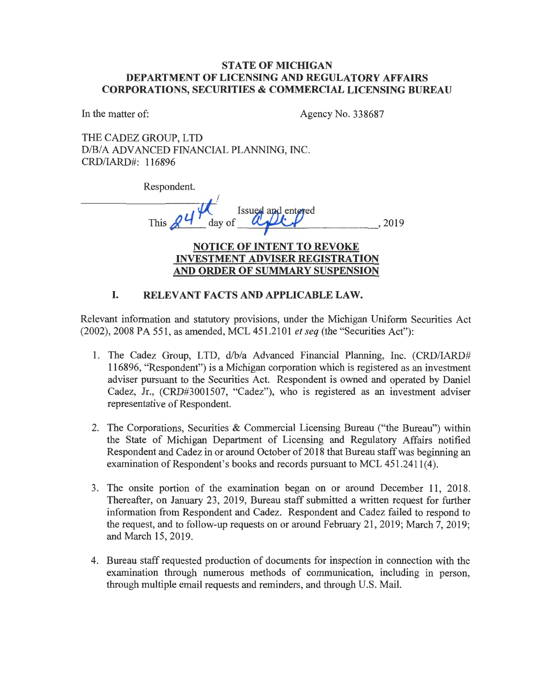## **STATE OF MICHIGAN DEPARTMENT OF LICENSING AND REGULATORY AFFAIRS CORPORATIONS, SECURITIES** & **COMMERCIAL LICENSING BUREAU**

In the matter of: Agency No. 338687

THE CADEZ GROUP, LTD D/B/A ADVANCED FINANCIAL PLANNING, INC. CRD/IARD#: 116896

| Respondent.                            |      |
|----------------------------------------|------|
|                                        |      |
| Issued and entered                     |      |
| day of<br>This,                        | 2019 |
|                                        |      |
| <b>NOTICE OF INTENT TO REVOKE</b>      |      |
| <b>INVESTMENT ADVISER REGISTRATION</b> |      |
| AND ORDER OF SUMMARY SUSPENSION        |      |
|                                        |      |

## I. **RELEVANT FACTS AND APPLICABLE LAW.**

Relevant information and statutory provisions, under the Michigan Uniform Securities Act (2002), 2008 PA 551, as amended, MCL 451.2101 *et seq* (the "Securities Act"):

- 1. The Cadez Group, LTD, d/b/a Advanced Financial Planning, Inc. (CRD/IARD# 116896, "Respondent") is a Michigan corporation which is registered as an investment adviser pursuant to the Securities Act. Respondent is owned and operated by Daniel Cadez, Jr., (CRD#3001507, "Cadez"), who is registered as an investment adviser representative of Respondent.
- 2. The Corporations, Securities & Commercial Licensing Bureau ("the Bureau") within the State of Michigan Department of Licensing and Regulatory Affairs notified Respondent and Cadez in or around October of 2018 that Bureau staff was beginning an examination of Respondent's books and records pursuant to MCL 451.2411(4).
- 3. The onsite portion of the examination began on or around December 11, 2018. Thereafter, on January 23, 2019, Bureau staff submitted a written request for further information from Respondent and Cadez. Respondent and Cadez failed to respond to the request, and to follow-up requests on or around February 21, 2019; March 7, 2019; and March 15, 2019.
- 4. Bureau staff requested production of documents for inspection in connection with the examination through numerous methods of communication, including in person, through multiple email requests and reminders, and through U.S. Mail.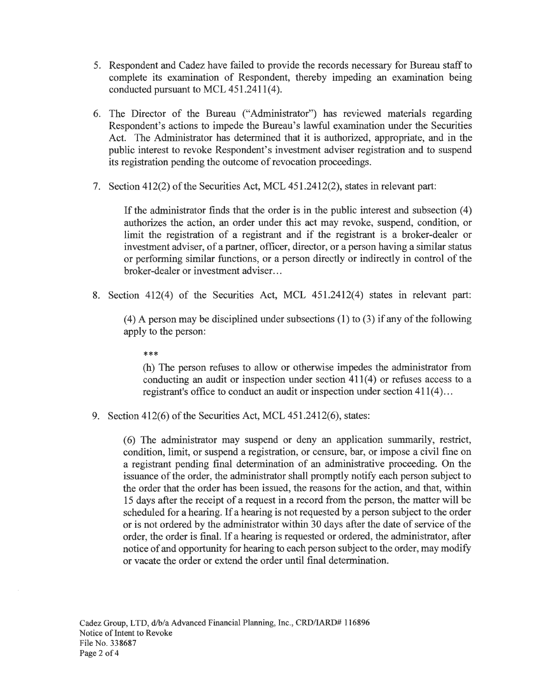- 5. Respondent and Cadez have failed to provide the records necessary for Bureau staff to complete its examination of Respondent, thereby impeding an examination being conducted pursuant to MCL 451.2411(4).
- 6. The Director of the Bureau ("Administrator") has reviewed materials regarding Respondent's actions to impede the Bureau's lawful examination under the Securities Act. The Administrator has determined that it is authorized, appropriate, and in the public interest to revoke Respondent's investment adviser registration and to suspend its registration pending the outcome of revocation proceedings.
- 7. Section 412(2) of the Securities Act, MCL 451.2412(2), states in relevant part:

If the administrator finds that the order is in the public interest and subsection  $(4)$ authorizes the action, an order under this act may revoke, suspend, condition, or limit the registration of a registrant and if the registrant is a broker-dealer or investment adviser, of a partner, officer, director, or a person having a similar status or performing similar functions, or a person directly or indirectly in control of the broker-dealer or investment adviser. ..

8. Section 412(4) of the Securities Act, MCL 451.2412(4) states in relevant part:

( 4) A person may be disciplined under subsections (1) to (3) if any of the following apply to the person:

\*\*\*

(h) The person refuses to allow or otherwise impedes the administrator from conducting an audit or inspection under section  $411(4)$  or refuses access to a registrant's office to conduct an audit or inspection under section 411(4) ...

9. Section 412(6) of the Securities Act, MCL 451.2412(6), states:

(6) The administrator may suspend or deny an application summarily, restrict, condition, limit, or suspend a registration, or censure, bar, or impose a civil fine on a registrant pending final determination of an administrative proceeding. On the issuance of the order, the administrator shall promptly notify each person subject to the order that the order has been issued, the reasons for the action, and that, within 15 days after the receipt of a request in a record from the person, the matter will be scheduled for a hearing. If a hearing is not requested by a person subject to the order or is not ordered by the administrator within 30 days after the date of service of the order, the order is final. If a hearing is requested or ordered, the administrator, after notice of and opportunity for hearing to each person subject to the order, may modify or vacate the order or extend the order until final determination.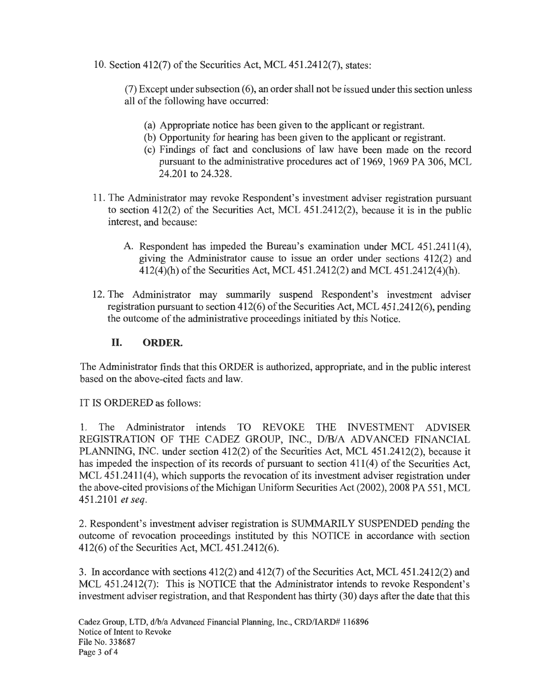10. Section 412(7) of the Securities Act, MCL 451.2412(7), states:

 $(7)$  Except under subsection  $(6)$ , an order shall not be issued under this section unless all of the following have occurred:

- (a) Appropriate notice has been given to the applicant or registrant.
- (b) Opportunity for hearing has been given to the applicant or registrant.
- ( c) Findings of fact and conclusions of law have been made on the record pursuant to the administrative procedures act of 1969, 1969 PA 306, MCL 24.201 to 24.328.
- 1 1. The Administrator may revoke Respondent's investment adviser registration pursuant to section 412(2) of the Securities Act, MCL 451.2412(2), because it is in the public interest, and because:
	- A. Respondent has impeded the Bureau's examination under MCL 451.2411(4), giving the Administrator cause to issue an order under sections 412(2) and 412(4)(h) of the Securities Act, MCL 451.2412(2) and MCL 451.2412(4)(h).
- 12. The Administrator may summarily suspend Respondent's investment adviser registration pursuant to section  $412(6)$  of the Securities Act, MCL  $451.2412(6)$ , pending the outcome of the administrative proceedings initiated by this Notice.

## **II. ORDER.**

The Administrator finds that this ORDER is authorized, appropriate, and in the public interest based on the above-cited facts and law.

IT IS ORDERED as follows:

**1.** The Administrator intends TO REVOKE THE INVESTMENT ADVISER REGISTRATION OF THE CADEZ GROUP, INC., D/B/A ADVANCED FINANCIAL PLANNING, INC. under section 412(2) of the Securities Act, MCL 451.2412(2), because it has impeded the inspection of its records of pursuant to section 411(4) of the Securities Act, MCL 451.2411(4), which supports the revocation of its investment adviser registration under the above-cited provisions of the Michigan Uniform Securities Act (2002), 2008 PA 551, MCL 451.2101 *et seq.* 

2. Respondent's investment adviser registration is SUMMARILY SUSPENDED pending the outcome of revocation proceedings instituted by this NOTICE in accordance with section 412(6) of the Securities Act, MCL 451.2412(6).

3. In accordance with sections 412(2) and 412(7) of the Securities Act, MCL 451.2412(2) and MCL 451.2412(7): This is NOTICE that the Administrator intends to revoke Respondent's investment adviser registration, and that Respondent has thirty (30) days after the date that this